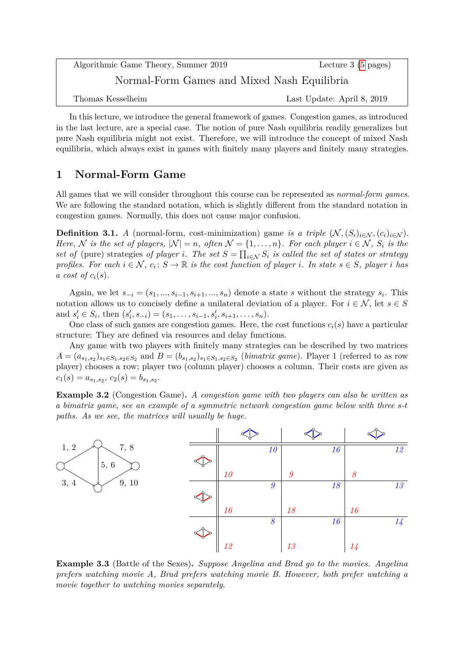Algorithmic Game Theory, Summer 2019 Lecture 3 [\(5](#page-4-0) pages) Normal-Form Games and Mixed Nash Equilibria Thomas Kesselheim Last Update: April 8, 2019

In this lecture, we introduce the general framework of games. Congestion games, as introduced in the last lecture, are a special case. The notion of pure Nash equilibria readily generalizes but pure Nash equilibria might not exist. Therefore, we will introduce the concept of mixed Nash equilibria, which always exist in games with finitely many players and finitely many strategies.

## **1 Normal-Form Game**

All games that we will consider throughout this course can be represented as *normal-form games*. We are following the standard notation, which is slightly different from the standard notation in congestion games. Normally, this does not cause major confusion.

**Definition 3.1.** *A* (normal-form, cost-minimization) game *is a triple*  $(\mathcal{N}, (S_i)_{i \in \mathcal{N}}, (c_i)_{i \in \mathcal{N}})$ . *Here,*  $N$  *is the set of players,*  $|N| = n$ *, often*  $N = \{1, \ldots, n\}$ *. For each player*  $i \in N$ *,*  $S_i$  *is the set of* (pure) strategies *of player i.* The set  $S = \prod_{i \in \mathcal{N}} S_i$  is called the set of states or strategy *profiles. For each*  $i \in \mathcal{N}$ ,  $c_i: S \to \mathbb{R}$  *is the cost function of player i. In state*  $s \in S$ *, player i has a* cost of  $c_i(s)$ .

Again, we let  $s_{-i} = (s_1, ..., s_{i-1}, s_{i+1}, ..., s_n)$  denote a state *s* without the strategy  $s_i$ . This notation allows us to concisely define a unilateral deviation of a player. For  $i \in \mathcal{N}$ , let  $s \in S$ and  $s'_i \in S_i$ , then  $(s'_i, s_{-i}) = (s_1, \ldots, s_{i-1}, s'_i, s_{i+1}, \ldots, s_n)$ .

One class of such games are congestion games. Here, the cost functions  $c_i(s)$  have a particular structure: They are defined via resources and delay functions.

Any game with two players with finitely many strategies can be described by two matrices  $A = (a_{s_1,s_2})_{s_1 \in S_1, s_2 \in S_2}$  and  $B = (b_{s_1,s_2})_{s_1 \in S_1, s_2 \in S_2}$  (*bimatrix game*). Player 1 (referred to as row player) chooses a row; player two (column player) chooses a column. Their costs are given as  $c_1(s) = a_{s_1, s_2}, c_2(s) = b_{s_1, s_2}.$ 

**Example 3.2** (Congestion Game)**.** *A congestion game with two players can also be written as a bimatrix game, see an example of a symmetric network congestion game below with three s-t paths. As we see, the matrices will usually be huge.*



<span id="page-0-0"></span>**Example 3.3** (Battle of the Sexes)**.** *Suppose Angelina and Brad go to the movies. Angelina prefers watching movie A, Brad prefers watching movie B. However, both prefer watching a movie together to watching movies separately.*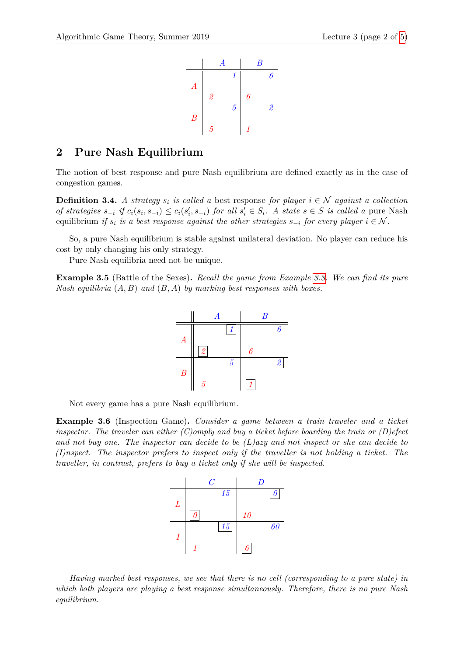

## **2 Pure Nash Equilibrium**

The notion of best response and pure Nash equilibrium are defined exactly as in the case of congestion games.

<span id="page-1-0"></span>**Definition 3.4.** *A strategy*  $s_i$  *is called a* best response *for player*  $i \in \mathcal{N}$  *against a collection* of strategies  $s_{-i}$  if  $c_i(s_i, s_{-i}) \leq c_i(s'_i, s_{-i})$  for all  $s'_i \in S_i$ . A state  $s \in S$  is called a pure Nash equilibrium *if*  $s_i$  *is a best response against the other strategies*  $s_{-i}$  *for every player*  $i \in \mathcal{N}$ *.* 

So, a pure Nash equilibrium is stable against unilateral deviation. No player can reduce his cost by only changing his only strategy.

Pure Nash equilibria need not be unique.

**Example 3.5** (Battle of the Sexes)**.** *Recall the game from Example [3.3.](#page-0-0) We can find its pure Nash equilibria* (*A, B*) *and* (*B, A*) *by marking best responses with boxes.*



Not every game has a pure Nash equilibrium.

<span id="page-1-1"></span>**Example 3.6** (Inspection Game)**.** *Consider a game between a train traveler and a ticket inspector. The traveler can either (C)omply and buy a ticket before boarding the train or (D)efect and not buy one. The inspector can decide to be (L)azy and not inspect or she can decide to (I)nspect. The inspector prefers to inspect only if the traveller is not holding a ticket. The traveller, in contrast, prefers to buy a ticket only if she will be inspected.*



*Having marked best responses, we see that there is no cell (corresponding to a pure state) in which both players are playing a best response simultaneously. Therefore, there is no pure Nash equilibrium.*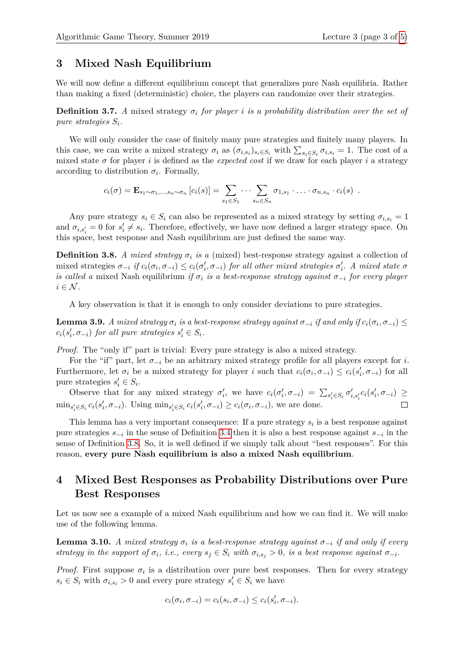## **3 Mixed Nash Equilibrium**

We will now define a different equilibrium concept that generalizes pure Nash equilibria. Rather than making a fixed (deterministic) choice, the players can randomize over their strategies.

**Definition 3.7.** *A* mixed strategy  $\sigma_i$  *for player i is a probability distribution over the set of pure strategies Si.*

We will only consider the case of finitely many pure strategies and finitely many players. In this case, we can write a mixed strategy  $\sigma_i$  as  $(\sigma_{i,s_i})_{s_i \in S_i}$  with  $\sum_{s_i \in S_i} \sigma_{i,s_i} = 1$ . The cost of a mixed state  $\sigma$  for player *i* is defined as the *expected cost* if we draw for each player *i* a strategy according to distribution  $\sigma_i$ . Formally,

$$
c_i(\sigma) = \mathbf{E}_{s_1 \sim \sigma_1, \dots, s_n \sim \sigma_n} \left[ c_i(s) \right] = \sum_{s_1 \in S_1} \dots \sum_{s_n \in S_n} \sigma_{1, s_1} \cdot \dots \cdot \sigma_{n, s_n} \cdot c_i(s) \enspace .
$$

Any pure strategy  $s_i \in S_i$  can also be represented as a mixed strategy by setting  $\sigma_{i,s_i} = 1$ and  $\sigma_{i,s_i'} = 0$  for  $s_i' \neq s_i$ . Therefore, effectively, we have now defined a larger strategy space. On this space, best response and Nash equilibrium are just defined the same way.

<span id="page-2-0"></span>**Definition 3.8.** *A mixed strategy*  $\sigma_i$  *is a* (mixed) best-response strategy against a collection of mixed strategies  $\sigma_{-i}$  if  $c_i(\sigma_i, \sigma_{-i}) \leq c_i(\sigma'_i, \sigma_{-i})$  for all other mixed strategies  $\sigma'_i$ . A mixed state  $\sigma$ *is called a* mixed Nash equilibrium *if*  $\sigma_i$  *is a best-response strategy against*  $\sigma_{-i}$  *for every player*  $i \in \mathcal{N}$ .

A key observation is that it is enough to only consider deviations to pure strategies.

<span id="page-2-1"></span>**Lemma 3.9.** *A mixed strategy*  $\sigma_i$  *is a best-response strategy against*  $\sigma_{-i}$  *if and only if*  $c_i(\sigma_i, \sigma_{-i}) \le$  $c_i(s'_i, \sigma_{-i})$  *for all pure strategies*  $s'_i \in S_i$ *.* 

*Proof.* The "only if" part is trivial: Every pure strategy is also a mixed strategy.

For the "if" part, let  $\sigma_{-i}$  be an arbitrary mixed strategy profile for all players except for *i*. Furthermore, let  $\sigma_i$  be a mixed strategy for player *i* such that  $c_i(\sigma_i, \sigma_{-i}) \leq c_i(s'_i, \sigma_{-i})$  for all pure strategies  $s_i' \in S_i$ .

Observe that for any mixed strategy  $\sigma'_i$ , we have  $c_i(\sigma'_i, \sigma_{-i}) = \sum_{s'_i \in S_i} \sigma'_{i, s'_i} c_i(s'_i, \sigma_{-i}) \ge$  $\min_{s'_i \in S_i} c_i(s'_i, \sigma_{-i})$ . Using  $\min_{s'_i \in S_i} c_i(s'_i, \sigma_{-i}) \ge c_i(\sigma_i, \sigma_{-i})$ , we are done.  $\Box$ 

This lemma has a very important consequence: If a pure strategy *s<sup>i</sup>* is a best response against pure strategies *s*−*<sup>i</sup>* in the sense of Definition [3.4](#page-1-0) then it is also a best response against *s*−*<sup>i</sup>* in the sense of Definition [3.8.](#page-2-0) So, it is well defined if we simply talk about "best responses". For this reason, **every pure Nash equilibrium is also a mixed Nash equilibrium**.

## **4 Mixed Best Responses as Probability Distributions over Pure Best Responses**

Let us now see a example of a mixed Nash equilibrium and how we can find it. We will make use of the following lemma.

**Lemma 3.10.** *A mixed strategy*  $\sigma_i$  *is a best-response strategy against*  $\sigma_{-i}$  *if and only if every strategy in the support of*  $\sigma_i$ , *i.e.*, every  $s_j \in S_i$  with  $\sigma_{i,s_j} > 0$ , is a best response against  $\sigma_{-i}$ .

*Proof.* First suppose  $\sigma_i$  is a distribution over pure best responses. Then for every strategy  $s_i \in S_i$  with  $\sigma_{i,s_i} > 0$  and every pure strategy  $s_i' \in S_i$  we have

$$
c_i(\sigma_i, \sigma_{-i}) = c_i(s_i, \sigma_{-i}) \leq c_i(s'_i, \sigma_{-i}).
$$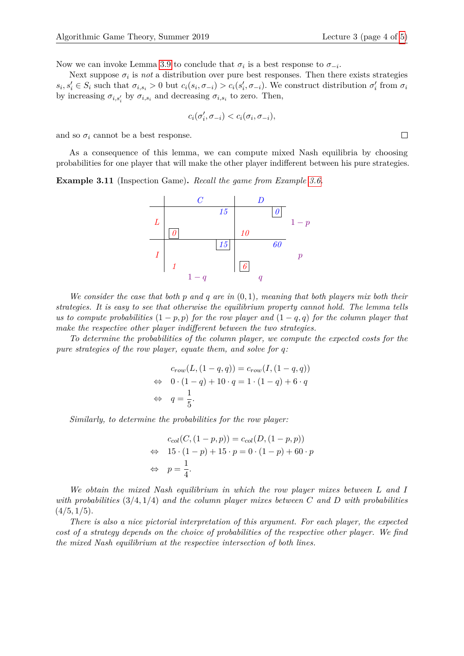Now we can invoke Lemma [3.9](#page-2-1) to conclude that  $\sigma_i$  is a best response to  $\sigma_{-i}$ .

Next suppose  $\sigma_i$  is *not* a distribution over pure best responses. Then there exists strategies  $s_i, s'_i \in S_i$  such that  $\sigma_{i,s_i} > 0$  but  $c_i(s_i, \sigma_{-i}) > c_i(s'_i, \sigma_{-i})$ . We construct distribution  $\sigma'_i$  from  $\sigma_i$ by increasing  $\sigma_{i,s_i}$  by  $\sigma_{i,s_i}$  and decreasing  $\sigma_{i,s_i}$  to zero. Then,

$$
c_i(\sigma'_i, \sigma_{-i}) < c_i(\sigma_i, \sigma_{-i}),
$$

and so  $\sigma_i$  cannot be a best response.

As a consequence of this lemma, we can compute mixed Nash equilibria by choosing probabilities for one player that will make the other player indifferent between his pure strategies.

**Example 3.11** (Inspection Game)**.** *Recall the game from Example [3.6.](#page-1-1)*



*We consider the case that both p and q are in* (0*,* 1)*, meaning that both players mix both their strategies. It is easy to see that otherwise the equilibrium property cannot hold. The lemma tells us to compute probabilities*  $(1 - p, p)$  *for the row player and*  $(1 - q, q)$  *for the column player that make the respective other player indifferent between the two strategies.*

*To determine the probabilities of the column player, we compute the expected costs for the pure strategies of the row player, equate them, and solve for q:*

$$
c_{row}(L, (1-q, q)) = c_{row}(I, (1-q, q))
$$
  
\n
$$
\Leftrightarrow \quad 0 \cdot (1-q) + 10 \cdot q = 1 \cdot (1-q) + 6 \cdot q
$$
  
\n
$$
\Leftrightarrow \quad q = \frac{1}{5}.
$$

*Similarly, to determine the probabilities for the row player:*

$$
c_{col}(C, (1 - p, p)) = c_{col}(D, (1 - p, p))
$$
  
\n
$$
\Leftrightarrow 15 \cdot (1 - p) + 15 \cdot p = 0 \cdot (1 - p) + 60 \cdot p
$$
  
\n
$$
\Leftrightarrow p = \frac{1}{4}.
$$

*We obtain the mixed Nash equilibrium in which the row player mixes between L and I with probabilities* (3*/*4*,* 1*/*4) *and the column player mixes between C and D with probabilities* (4*/*5*,* 1*/*5)*.*

*There is also a nice pictorial interpretation of this argument. For each player, the expected cost of a strategy depends on the choice of probabilities of the respective other player. We find the mixed Nash equilibrium at the respective intersection of both lines.*

 $\Box$